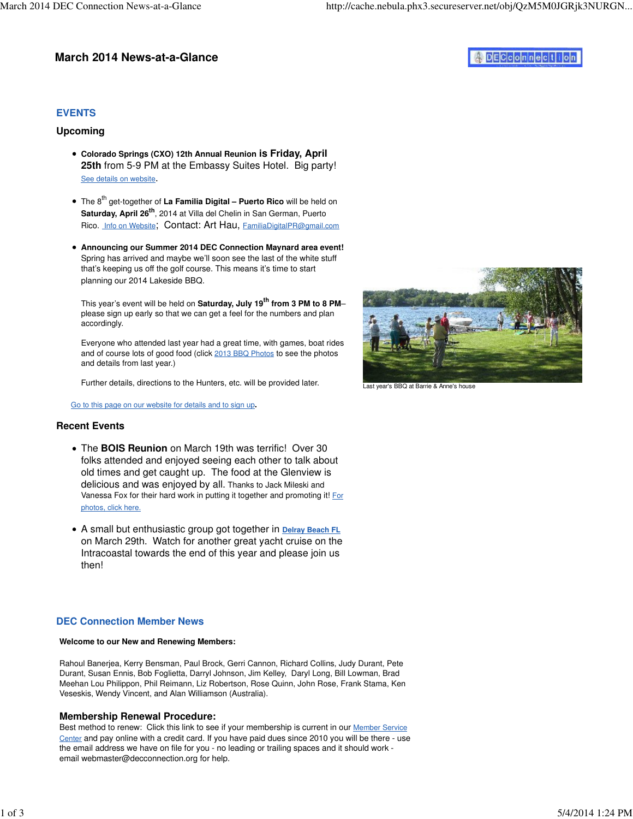# **March 2014 News-at-a-Glance**

# **DECconnection**

# **EVENTS**

## **Upcoming**

- **Colorado Springs (CXO) 12th Annual Reunion is Friday, April 25th** from 5-9 PM at the Embassy Suites Hotel. Big party! See details on website.
- The 8<sup>th</sup> get-together of La Familia Digital Puerto Rico will be held on **Saturday, April 26th**, 2014 at Villa del Chelin in San German, Puerto Rico. Info on Website; Contact: Art Hau, [FamiliaDigitalPR@gmail.com](mailto:FamiliaDigitalPR@gmail.com)
- **Announcing our Summer 2014 DEC Connection Maynard area event!**  Spring has arrived and maybe we'll soon see the last of the white stuff that's keeping us off the golf course. This means it's time to start planning our 2014 Lakeside BBQ.

This year's event will be held on **Saturday, July 19th from 3 PM to 8 PM**– please sign up early so that we can get a feel for the numbers and plan accordingly.

Everyone who attended last year had a great time, with games, boat rides and of course lots of good food (click 2013 BBQ Photos to see the photos and details from last year.)

Further details, directions to the Hunters, etc. will be provided later.

Go to this page on our website for details and to sign up**.**

### **Recent Events**

- The **BOIS Reunion** on March 19th was terrific! Over 30 folks attended and enjoyed seeing each other to talk about old times and get caught up. The food at the Glenview is delicious and was enjoyed by all. Thanks to Jack Mileski and Vanessa Fox for their hard work in putting it together and promoting it! For photos, click here.
- A small but enthusiastic group got together in **Delray Beach FL** on March 29th. Watch for another great yacht cruise on the Intracoastal towards the end of this year and please join us then!

## **DEC Connection Member News**

### **Welcome to our New and Renewing Members:**

Rahoul Banerjea, Kerry Bensman, Paul Brock, Gerri Cannon, Richard Collins, Judy Durant, Pete Durant, Susan Ennis, Bob Foglietta, Darryl Johnson, Jim Kelley, Daryl Long, Bill Lowman, Brad Meehan Lou Philippon, Phil Reimann, Liz Robertson, Rose Quinn, John Rose, Frank Stama, Ken Veseskis, Wendy Vincent, and Alan Williamson (Australia).

### **Membership Renewal Procedure:**

Best method to renew: Click this link to see if your membership is current in our Member Service Center and pay online with a credit card. If you have paid dues since 2010 you will be there - use the email address we have on file for you - no leading or trailing spaces and it should work email [webmaster@decconnection.org fo](mailto:webmaster@decconnection.org)r help.



Last year's BBQ at Barrie & Anne's house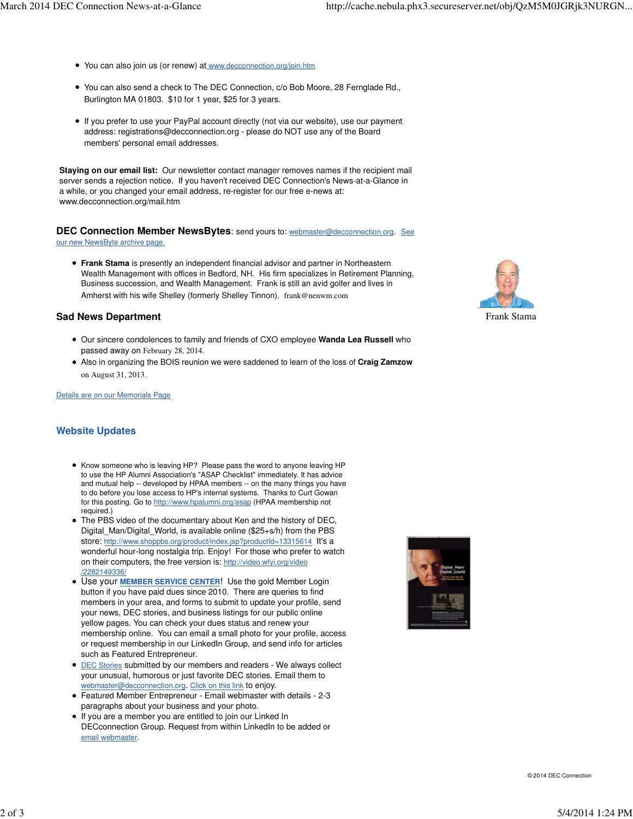- You can also join us (or renew) at [www.decconnection.org/join.htm](http://www.decconnection.org/join.htm)
- You can also send a check to The DEC Connection, c/o Bob Moore, 28 Fernglade Rd., Burlington MA 01803. \$10 for 1 year, \$25 for 3 years.
- If you prefer to use your PayPal account directly (not via our website), use our payment address: [registrations@decconnection.org - p](mailto:registrations@decconnection.org)lease do NOT use any of the Board members' personal email addresses.

**Staying on our email list:** Our newsletter contact manager removes names if the recipient mail server sends a rejection notice. If you haven't received DEC Connection's News-at-a-Glance in a while, or you changed your email address, re-register for our free e-news at: [www.decconnection.org/mail.htm](http://www.decconnection.org/mail.htm)

**DEC Connection Member NewsBytes**: send yours to: [webmaster@decconnection.org](mailto:webmaster@decconnection.org). See our new NewsByte archive page.

**Frank Stama** is presently an independent financial advisor and partner in Northeastern Wealth Management with offices in Bedford, NH. His firm specializes in Retirement Planning, Business succession, and Wealth Management. Frank is still an avid golfer and lives in Amherst with his wife Shelley (formerly Shelley Tinnon). [frank@nenwm.com](mailto:frank@nenwm.com)

### **Sad News Department**

- Our sincere condolences to family and friends of CXO employee **Wanda Lea Russell** who passed away on February 28, 2014.
- Also in organizing the BOIS reunion we were saddened to learn of the loss of **Craig Zamzow** on August 31, 2013.

Details are on our Memorials Page

### **Website Updates**

- Know someone who is leaving HP? Please pass the word to anyone leaving HP to use the HP Alumni Association's "ASAP Checklist" immediately. It has advice and mutual help -- developed by HPAA members -- on the many things you have to do before you lose access to HP's internal systems. Thanks to Curt Gowan for this posting. Go to [http://www.hpalumni.org/asap \(H](http://www.hpalumni.org/asap)PAA membership not required.)
- The PBS video of the documentary about Ken and the history of DEC, Digital\_Man/Digital\_World, is available online (\$25+s/h) from the PBS store: <http://www.shoppbs.org/product/index.jsp?productId=13315614> It's a wonderful hour-long nostalgia trip. Enjoy! For those who prefer to watch on their computers, the free version is: <http://video.wfyi.org/video> /2282149336/
- Use your **MEMBER SERVICE CENTER**! Use the gold Member Login button if you have paid dues since 2010. There are queries to find members in your area, and forms to submit to update your profile, send your news, DEC stories, and business listings for our public online yellow pages. You can check your dues status and renew your membership online. You can email a small photo for your profile, access or request membership in our LinkedIn Group, and send info for articles such as Featured Entrepreneur.
- DEC Stories submitted by our members and readers We always collect your unusual, humorous or just favorite DEC stories. Email them to [webmaster@decconnection.org](mailto:webmaster@decconnection.org). Click on this link to enjoy.
- Featured Member Entrepreneur Email webmaster with details 2-3 paragraphs about your business and your photo.
- If you are a member you are entitled to join our Linked In DECconnection Group. Request from within LinkedIn to be added or email webmaster.